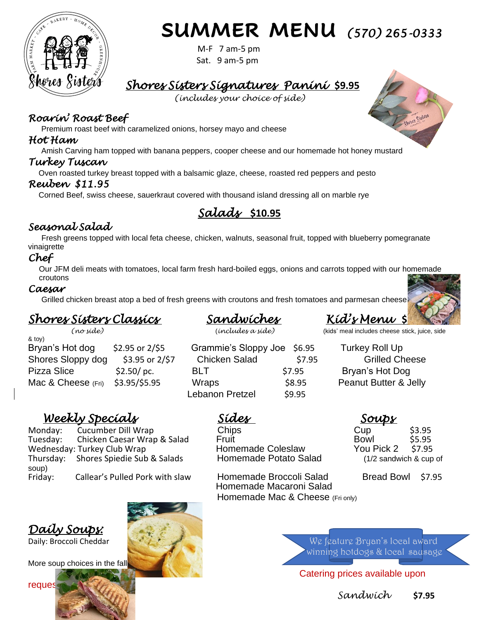

# **SUMMER MENU** *(570) 265-0333*

M-F 7 am-5 pm Sat. 9 am-5 pm

## *Shores Sisters Signatures Panini* **\$9.95**

*(includes your choice of side)*

## *Roarin' Roast Beef*

Premium roast beef with caramelized onions, horsey mayo and cheese

## *Hot Ham*

Amish Carving ham topped with banana peppers, cooper cheese and our homemade hot honey mustard

## *Turkey Tuscan*

Oven roasted turkey breast topped with a balsamic glaze, cheese, roasted red peppers and pesto

## *Reuben \$11.95*

Corned Beef, swiss cheese, sauerkraut covered with thousand island dressing all on marble rye

## *Salads* **\$10.95**

## *Seasonal Salad*

Fresh greens topped with local feta cheese, chicken, walnuts, seasonal fruit, topped with blueberry pomegranate vinaigrette

## *Chef*

 Our JFM deli meats with tomatoes, local farm fresh hard-boiled eggs, onions and carrots topped with our homemade croutons

## *Caesar*

Grilled chicken breast atop a bed of fresh greens with croutons and fresh tomatoes and parmesan cheese

## *Shores Sisters Classics Sandwiches Kid's Menu* **\$5.95**

& toy) Bryan's Hot dog \$2.95 or 2/\$5 Grammie's Sloppy Joe \$6.95 Turkey Roll Up Shores Sloppy dog \$3.95 or 2/\$7 Chicken Salad \$7.95 Grilled Cheese Pizza Slice \$2.50/ pc. BLT \$7.95Bryan's Hot Dog Mac & Cheese (Fri) \$3.95/\$5.95 Wraps \$8.95 Peanut Butter & Jelly

 *(no side)* (*includes a side)* (kids' meal includes cheese stick, juice, side

Lebanon Pretzel \$9.95

## *Weekly Specials Sides Soups*

Monday: Cucumber Dill Wrap Chips Chips Cup \$3.95<br>Tuesday: Chicken Caesar Wrap & Salad Fruit Cup Bowl \$5.95 Tuesday: Chicken Caesar Wrap & Salad Fruit Fruit Bowl \$5.95<br>Wednesday: Turkey Club Wrap **Fruit Homemade Coleslaw** Pou Pick 2 57.95 Wednesday: Turkey Club Wrap **Homemade Coleslaw** You Pick 2 \$7.95<br>Thursday: Shores Spiedie Sub & Salads Homemade Potato Salad (1/2 sandwich & cup Thursday: Shores Spiedie Sub & Salads Homemade Potato Salad (1/2 sandwich & cup of soup) Friday: Callear's Pulled Pork with slaw Homemade Broccoli Salad Bread Bowl \$7.95



 Homemade Macaroni Salad **Homemade Mac & Cheese (Fri only)** 

Daily: Broccoli Cheddar We feature Bryan's local award winning hotdogs & local sausage

Catering prices available upon

*Sandwich* **\$7.95** 



*Daily Soups:*